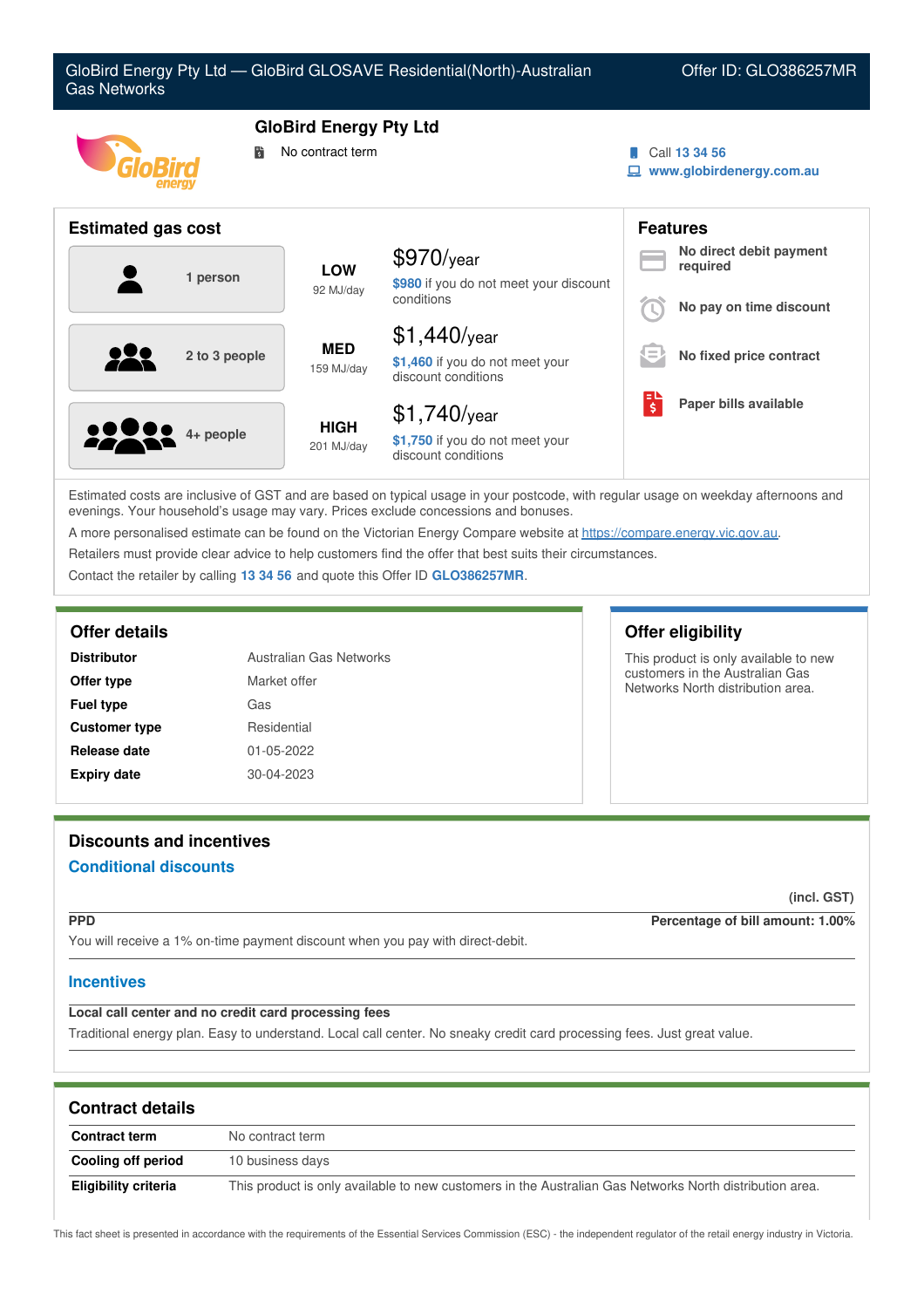

Estimated costs are inclusive of GST and are based on typical usage in your postcode, with regular usage on weekday afternoons and evenings. Your household's usage may vary. Prices exclude concessions and bonuses.

A more personalised estimate can be found on the Victorian Energy Compare website at <https://compare.energy.vic.gov.au>.

Retailers must provide clear advice to help customers find the offer that best suits their circumstances.

Contact the retailer by calling **13 34 56** and quote this Offer ID **GLO386257MR**.

| Australian Gas Networks<br><b>Distributor</b> |              |
|-----------------------------------------------|--------------|
| Offer type                                    | Market offer |
| <b>Fuel type</b>                              | Gas          |
| <b>Customer type</b>                          | Residential  |
| Release date                                  | 01-05-2022   |
| <b>Expiry date</b>                            | 30-04-2023   |

## **Offer details Offer eligibility**

This product is only available to new customers in the Australian Gas Networks North distribution area.

# **Discounts and incentives Conditional discounts**

**(incl. GST)**

**PPD Percentage of bill amount: 1.00%**

You will receive a 1% on-time payment discount when you pay with direct-debit.

### **Incentives**

## **Local call center and no credit card processing fees**

Traditional energy plan. Easy to understand. Local call center. No sneaky credit card processing fees. Just great value.

| <b>Contract details</b> |                                                                                                         |  |
|-------------------------|---------------------------------------------------------------------------------------------------------|--|
| <b>Contract term</b>    | No contract term                                                                                        |  |
| Cooling off period      | 10 business days                                                                                        |  |
| Eligibility criteria    | This product is only available to new customers in the Australian Gas Networks North distribution area. |  |

This fact sheet is presented in accordance with the requirements of the Essential Services Commission (ESC) - the independent regulator of the retail energy industry in Victoria.